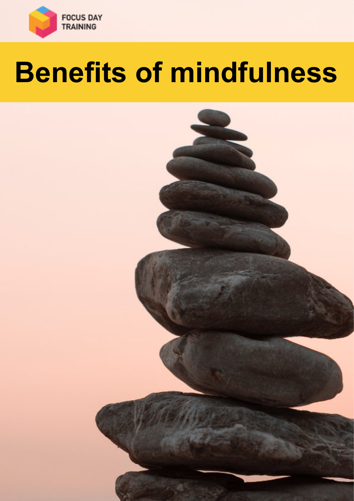

# **Benefits of mindfulness**

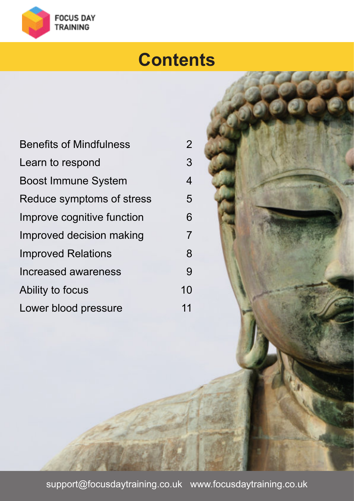

#### **Contents**

| <b>Benefits of Mindfulness</b> | $2^{\circ}$    |
|--------------------------------|----------------|
| Learn to respond               | 3              |
| <b>Boost Immune System</b>     | $\overline{4}$ |
| Reduce symptoms of stress      | 5              |
| Improve cognitive function     | 6              |
| Improved decision making       | 7              |
| <b>Improved Relations</b>      | 8              |
| Increased awareness            | 9              |
| Ability to focus               | 10             |
| Lower blood pressure           | 11             |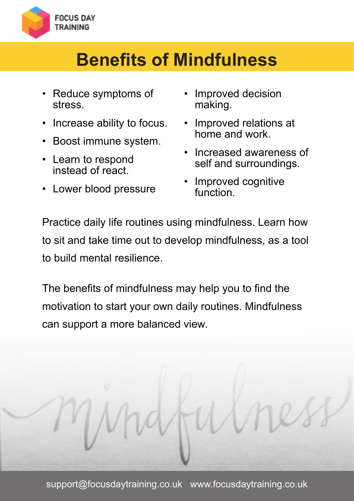<span id="page-2-0"></span>

### **Benefits of Mindfulness**

- Reduce symptoms of stress.
- Increase ability to focus.
- Boost immune system.
- Learn to respond instead of react.
- Lower blood pressure
- Improved decision making.
- Improved relations at home and work.
- Increased awareness of self and surroundings.
- Improved cognitive function.

Practice daily life routines using mindfulness. Learn how to sit and take time out to develop mindfulness, as a tool to build mental resilience.

The benefits of mindfulness may help you to find the motivation to start your own daily routines. Mindfulness can support a more balanced view.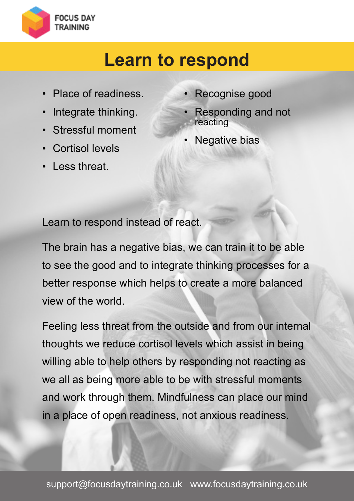<span id="page-3-0"></span>

#### **Learn to respond**

- Place of readiness.
- Integrate thinking.
- Stressful moment
- Cortisol levels
- Less threat.
- Recognise good
- Responding and not reacting
- Negative bias

Learn to respond instead of react.

The brain has a negative bias, we can train it to be able to see the good and to integrate thinking processes for a better response which helps to create a more balanced view of the world.

Feeling less threat from the outside and from our internal thoughts we reduce cortisol levels which assist in being willing able to help others by responding not reacting as we all as being more able to be with stressful moments and work through them. Mindfulness can place our mind in a place of open readiness, not anxious readiness.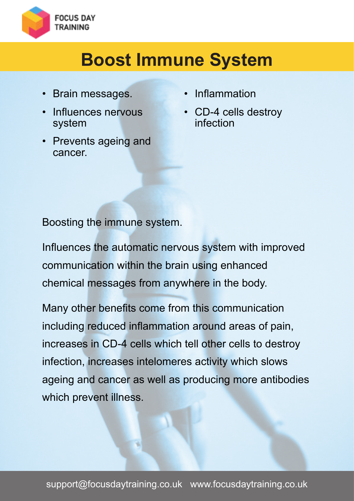<span id="page-4-0"></span>

### **Boost Immune System**

- Brain messages.
- Influences nervous system
- Prevents ageing and cancer.
- Inflammation
- CD-4 cells destroy infection

Boosting the immune system.

Influences the automatic nervous system with improved communication within the brain using enhanced chemical messages from anywhere in the body.

Many other benefits come from this communication including reduced inflammation around areas of pain, increases in CD-4 cells which tell other cells to destroy infection, increases intelomeres activity which slows ageing and cancer as well as producing more antibodies which prevent illness.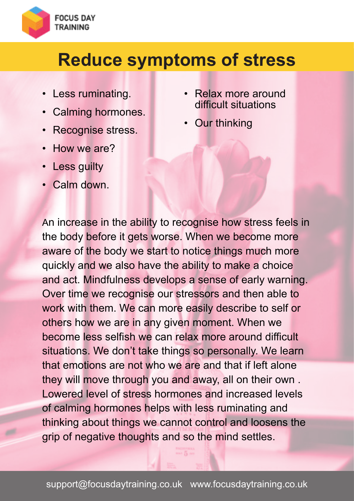<span id="page-5-0"></span>

#### **Reduce symptoms of stress**

- Less ruminating.
- Calming hormones.
- Recognise stress.
- How we are?
- Less guilty
- Calm down.
- Relax more around difficult situations
- **Our thinking**

An increase in the ability to recognise how stress feels in the body before it gets worse. When we become more aware of the body we start to notice things much more quickly and we also have the ability to make a choice and act. Mindfulness develops a sense of early warning. Over time we recognise our stressors and then able to work with them. We can more easily describe to self or others how we are in any given moment. When we become less selfish we can relax more around difficult situations. We don't take things so personally. We learn that emotions are not who we are and that if left alone they will move through you and away, all on their own . Lowered level of stress hormones and increased levels of calming hormones helps with less ruminating and thinking about things we cannot control and loosens the grip of negative thoughts and so the mind settles.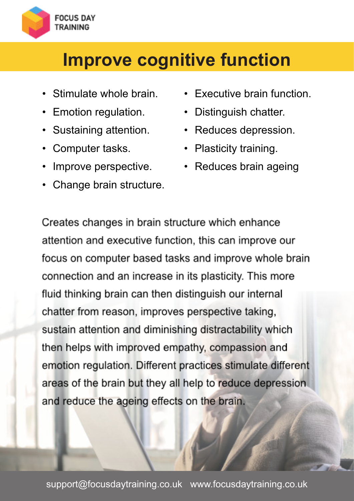<span id="page-6-0"></span>

#### **Improve cognitive function**

- Stimulate whole brain.
- Emotion regulation.
- Sustaining attention.
- Computer tasks.
- Improve perspective.
- Change brain structure.
- Executive brain function.
- Distinguish chatter.
- Reduces depression.
- Plasticity training.
- Reduces brain ageing

Creates changes in brain structure which enhance attention and executive function, this can improve our focus on computer based tasks and improve whole brain connection and an increase in its plasticity. This more fluid thinking brain can then distinguish our internal chatter from reason, improves perspective taking, sustain attention and diminishing distractability which then helps with improved empathy, compassion and emotion regulation. Different practices stimulate different areas of the brain but they all help to reduce depression. and reduce the ageing effects on the brain.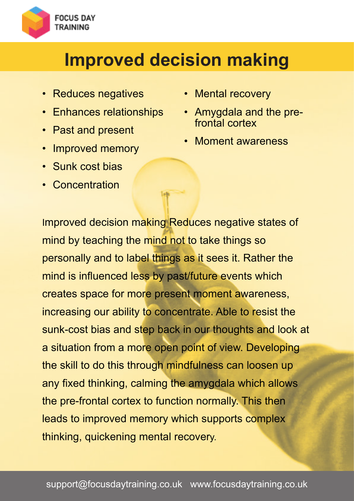<span id="page-7-0"></span>

### **Improved decision making**

- Reduces negatives
- Enhances relationships
- Past and present
- Improved memory
- Sunk cost bias
- Concentration
- Mental recovery
- Amygdala and the prefrontal cortex
- Moment awareness

Improved decision making Reduces negative states of mind by teaching the mind not to take things so personally and to label things as it sees it. Rather the mind is influenced less by past/future events which creates space for more present moment awareness, increasing our ability to concentrate. Able to resist the sunk-cost bias and step back in our thoughts and look at a situation from a more open point of view. Developing the skill to do this through mindfulness can loosen up any fixed thinking, calming the amygdala which allows the pre-frontal cortex to function normally. This then leads to improved memory which supports complex thinking, quickening mental recovery.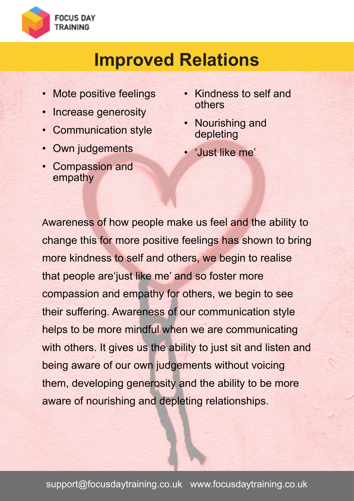<span id="page-8-0"></span>

#### **Improved Relations**

- Mote positive feelings
- Increase generosity
- Communication style
- Own judgements
- Compassion and empathy
- Kindness to self and others
- **Nourishing and** depleting
- 'Just like me'

Awareness of how people make us feel and the ability to change this for more positive feelings has shown to bring more kindness to self and others, we begin to realise that people are'just like me' and so foster more compassion and empathy for others, we begin to see their suffering. Awareness of our communication style helps to be more mindful when we are communicating with others. It gives us the ability to just sit and listen and being aware of our own judgements without voicing them, developing generosity and the ability to be more aware of nourishing and depleting relationships.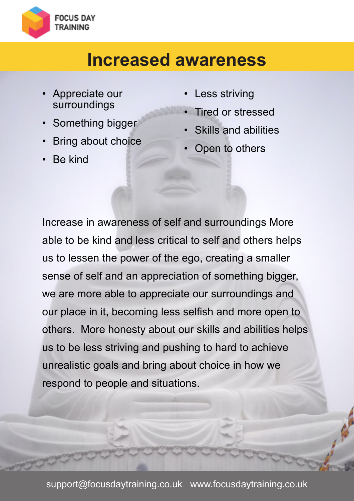<span id="page-9-0"></span>

#### **Increased awareness**

- Appreciate our surroundings
- Something bigger
- Bring about choice
- Be kind
- **Less striving**
- Tired or stressed
- Skills and abilities
- Open to others

Increase in awareness of self and surroundings More able to be kind and less critical to self and others helps us to lessen the power of the ego, creating a smaller sense of self and an appreciation of something bigger, we are more able to appreciate our surroundings and our place in it, becoming less selfish and more open to others. More honesty about our skills and abilities helps us to be less striving and pushing to hard to achieve unrealistic goals and bring about choice in how we respond to people and situations.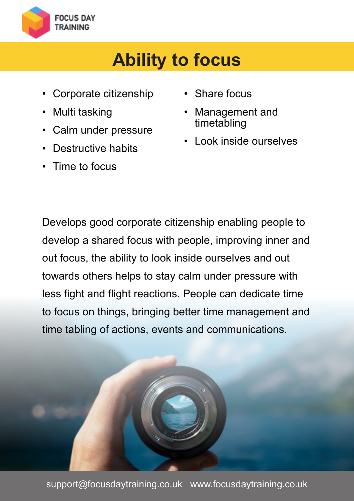<span id="page-10-0"></span>

## **Ability to focus**

- Corporate citizenship
- Multi tasking
- Calm under pressure
- Destructive habits
- Time to focus
- Share focus
- Management and timetabling
- Look inside ourselves

Develops good corporate citizenship enabling people to develop a shared focus with people, improving inner and out focus, the ability to look inside ourselves and out towards others helps to stay calm under pressure with less fight and flight reactions. People can dedicate time to focus on things, bringing better time management and time tabling of actions, events and communications.